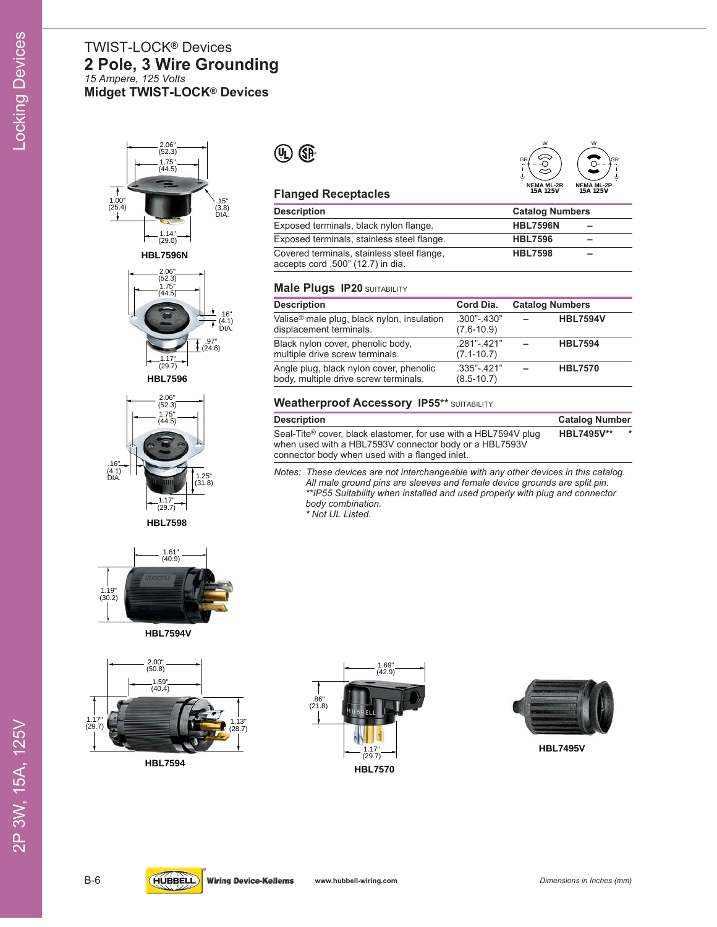# TWIST-LOCK® Devices **2 Pole, 3 Wire Grounding** *15 Ampere, 125 Volts* **Midget TWIST-LOCK® Devices**











**HBL7594**



## **Flanged Receptacles**

| <b>Description</b>                                                              | <b>Catalog Numbers</b> |   |
|---------------------------------------------------------------------------------|------------------------|---|
| Exposed terminals, black nylon flange.                                          | <b>HBL7596N</b>        | - |
| Exposed terminals, stainless steel flange.                                      | <b>HBL7596</b>         | - |
| Covered terminals, stainless steel flange,<br>accepts cord .500" (12.7) in dia. | <b>HBL7598</b>         |   |

**NEMA ML-2R 15A 125V**

**NEMA ML-2P 15A 125V**

W

GR

W

GR

#### **Male Plugs IP20** SUITABILITY

| <b>Description</b>                                                                | Cord Dia.                       | <b>Catalog Numbers</b> |
|-----------------------------------------------------------------------------------|---------------------------------|------------------------|
| Valise <sup>®</sup> male plug, black nylon, insulation<br>displacement terminals. | $.300 - 430"$<br>$(7.6-10.9)$   | <b>HBL7594V</b>        |
| Black nylon cover, phenolic body,<br>multiple drive screw terminals.              | $.281 - 421"$<br>$(7.1 - 10.7)$ | <b>HBL7594</b>         |
| Angle plug, black nylon cover, phenolic<br>body, multiple drive screw terminals.  | $.335 - 421"$<br>$(8.5 - 10.7)$ | <b>HBL7570</b>         |

## **Weatherproof Accessory IP55\*\*** SUITABILITY

| <b>Description</b>                                                                                                                    | <b>Catalog Number</b> |         |
|---------------------------------------------------------------------------------------------------------------------------------------|-----------------------|---------|
| Seal-Tite <sup>®</sup> cover, black elastomer, for use with a HBL7594V plug<br>when used with a HBL7593V connector body or a HBL7593V | <b>HBL7495V**</b>     | $\star$ |
| connector body when used with a flanged inlet.                                                                                        |                       |         |

*Notes: These devices are not interchangeable with any other devices in this catalog. All male ground pins are sleeves and female device grounds are split pin. \*\*IP55 Suitability when installed and used properly with plug and connector body combination.*

*\* Not UL Listed.*





**HBL7495V**